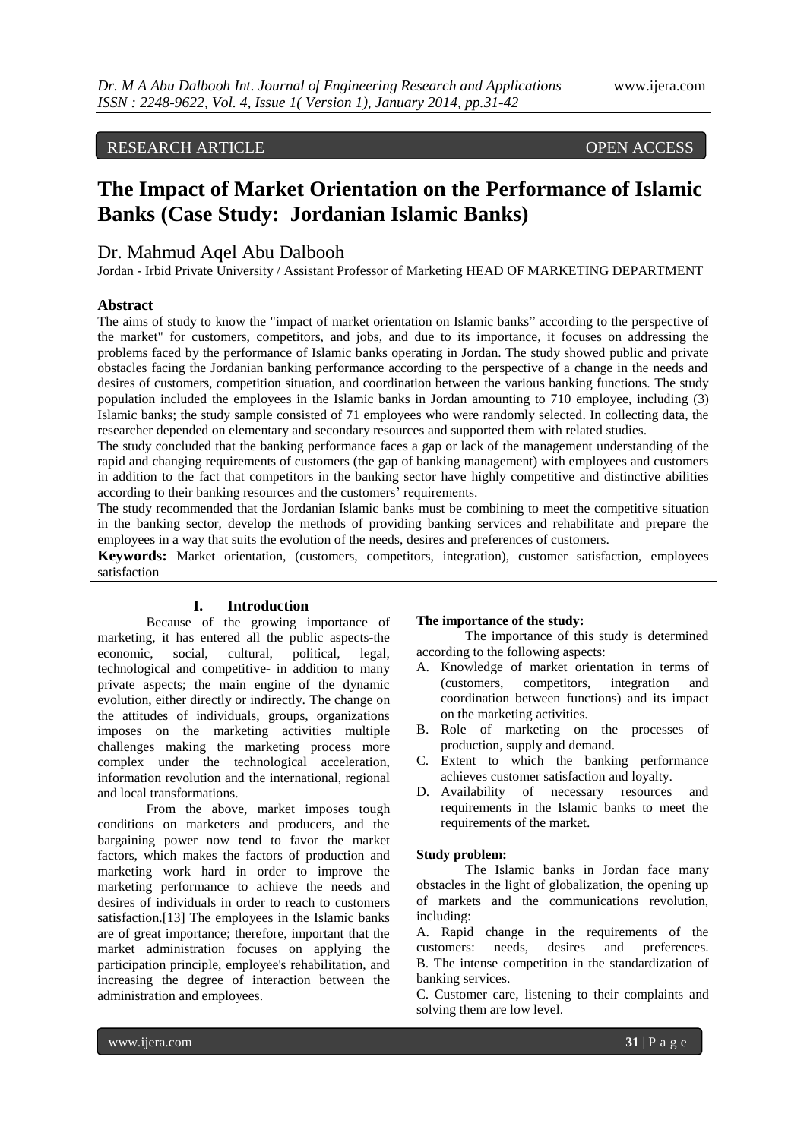## RESEARCH ARTICLE OPEN ACCESS

# **The Impact of Market Orientation on the Performance of Islamic Banks (Case Study: Jordanian Islamic Banks)**

## Dr. Mahmud Aqel Abu Dalbooh

Jordan - Irbid Private University / Assistant Professor of Marketing HEAD OF MARKETING DEPARTMENT

## **Abstract**

The aims of study to know the "impact of market orientation on Islamic banks" according to the perspective of the market" for customers, competitors, and jobs, and due to its importance, it focuses on addressing the problems faced by the performance of Islamic banks operating in Jordan. The study showed public and private obstacles facing the Jordanian banking performance according to the perspective of a change in the needs and desires of customers, competition situation, and coordination between the various banking functions. The study population included the employees in the Islamic banks in Jordan amounting to 710 employee, including (3) Islamic banks; the study sample consisted of 71 employees who were randomly selected. In collecting data, the researcher depended on elementary and secondary resources and supported them with related studies.

The study concluded that the banking performance faces a gap or lack of the management understanding of the rapid and changing requirements of customers (the gap of banking management) with employees and customers in addition to the fact that competitors in the banking sector have highly competitive and distinctive abilities according to their banking resources and the customers' requirements.

The study recommended that the Jordanian Islamic banks must be combining to meet the competitive situation in the banking sector, develop the methods of providing banking services and rehabilitate and prepare the employees in a way that suits the evolution of the needs, desires and preferences of customers.

**Keywords:** Market orientation, (customers, competitors, integration), customer satisfaction, employees satisfaction

## **I. Introduction**

Because of the growing importance of marketing, it has entered all the public aspects-the economic, social, cultural, political, legal, technological and competitive- in addition to many private aspects; the main engine of the dynamic evolution, either directly or indirectly. The change on the attitudes of individuals, groups, organizations imposes on the marketing activities multiple challenges making the marketing process more complex under the technological acceleration, information revolution and the international, regional and local transformations.

From the above, market imposes tough conditions on marketers and producers, and the bargaining power now tend to favor the market factors, which makes the factors of production and marketing work hard in order to improve the marketing performance to achieve the needs and desires of individuals in order to reach to customers satisfaction.[13] The employees in the Islamic banks are of great importance; therefore, important that the market administration focuses on applying the participation principle, employee's rehabilitation, and increasing the degree of interaction between the administration and employees.

#### **The importance of the study:**

The importance of this study is determined according to the following aspects:

- A. Knowledge of market orientation in terms of (customers, competitors, integration and coordination between functions) and its impact on the marketing activities.
- B. Role of marketing on the processes of production, supply and demand.
- C. Extent to which the banking performance achieves customer satisfaction and loyalty.
- D. Availability of necessary resources and requirements in the Islamic banks to meet the requirements of the market.

#### **Study problem:**

The Islamic banks in Jordan face many obstacles in the light of globalization, the opening up of markets and the communications revolution, including:

A. Rapid change in the requirements of the customers: needs, desires and preferences. B. The intense competition in the standardization of banking services.

C. Customer care, listening to their complaints and solving them are low level.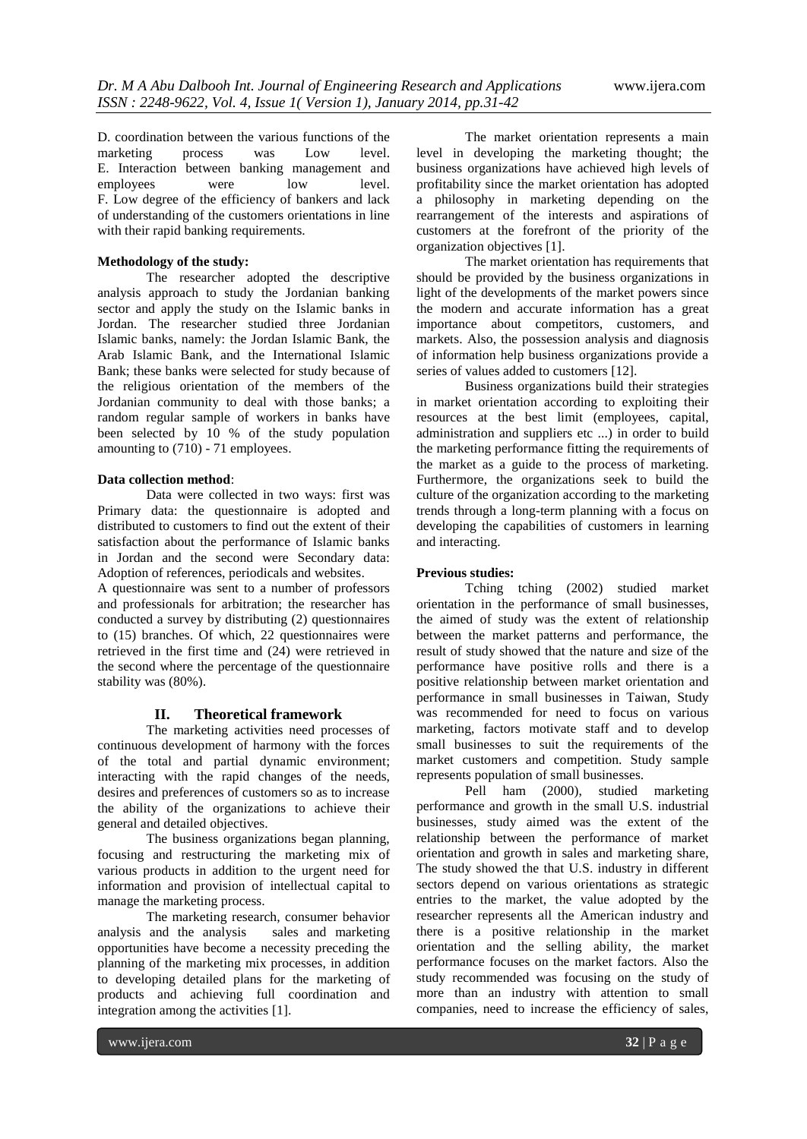D. coordination between the various functions of the marketing process was Low level. marketing process was Low level. E. Interaction between banking management and employees were low level. F. Low degree of the efficiency of bankers and lack of understanding of the customers orientations in line with their rapid banking requirements.

## **Methodology of the study:**

The researcher adopted the descriptive analysis approach to study the Jordanian banking sector and apply the study on the Islamic banks in Jordan. The researcher studied three Jordanian Islamic banks, namely: the Jordan Islamic Bank, the Arab Islamic Bank, and the International Islamic Bank; these banks were selected for study because of the religious orientation of the members of the Jordanian community to deal with those banks; a random regular sample of workers in banks have been selected by 10 % of the study population amounting to (710) - 71 employees.

### **Data collection method**:

Data were collected in two ways: first was Primary data: the questionnaire is adopted and distributed to customers to find out the extent of their satisfaction about the performance of Islamic banks in Jordan and the second were Secondary data: Adoption of references, periodicals and websites.

A questionnaire was sent to a number of professors and professionals for arbitration; the researcher has conducted a survey by distributing (2) questionnaires to (15) branches. Of which, 22 questionnaires were retrieved in the first time and (24) were retrieved in the second where the percentage of the questionnaire stability was (80%).

## **II. Theoretical framework**

The marketing activities need processes of continuous development of harmony with the forces of the total and partial dynamic environment; interacting with the rapid changes of the needs, desires and preferences of customers so as to increase the ability of the organizations to achieve their general and detailed objectives.

The business organizations began planning, focusing and restructuring the marketing mix of various products in addition to the urgent need for information and provision of intellectual capital to manage the marketing process.

The marketing research, consumer behavior analysis and the analysis sales and marketing opportunities have become a necessity preceding the planning of the marketing mix processes, in addition to developing detailed plans for the marketing of products and achieving full coordination and integration among the activities [1].

The market orientation represents a main level in developing the marketing thought; the business organizations have achieved high levels of profitability since the market orientation has adopted a philosophy in marketing depending on the rearrangement of the interests and aspirations of customers at the forefront of the priority of the organization objectives [1].

The market orientation has requirements that should be provided by the business organizations in light of the developments of the market powers since the modern and accurate information has a great importance about competitors, customers, and markets. Also, the possession analysis and diagnosis of information help business organizations provide a series of values added to customers [12].

Business organizations build their strategies in market orientation according to exploiting their resources at the best limit (employees, capital, administration and suppliers etc ...) in order to build the marketing performance fitting the requirements of the market as a guide to the process of marketing. Furthermore, the organizations seek to build the culture of the organization according to the marketing trends through a long-term planning with a focus on developing the capabilities of customers in learning and interacting.

## **Previous studies:**

Tching tching (2002) studied market orientation in the performance of small businesses, the aimed of study was the extent of relationship between the market patterns and performance, the result of study showed that the nature and size of the performance have positive rolls and there is a positive relationship between market orientation and performance in small businesses in Taiwan, Study was recommended for need to focus on various marketing, factors motivate staff and to develop small businesses to suit the requirements of the market customers and competition. Study sample represents population of small businesses.

Pell ham (2000), studied marketing performance and growth in the small U.S. industrial businesses, study aimed was the extent of the relationship between the performance of market orientation and growth in sales and marketing share, The study showed the that U.S. industry in different sectors depend on various orientations as strategic entries to the market, the value adopted by the researcher represents all the American industry and there is a positive relationship in the market orientation and the selling ability, the market performance focuses on the market factors. Also the study recommended was focusing on the study of more than an industry with attention to small companies, need to increase the efficiency of sales,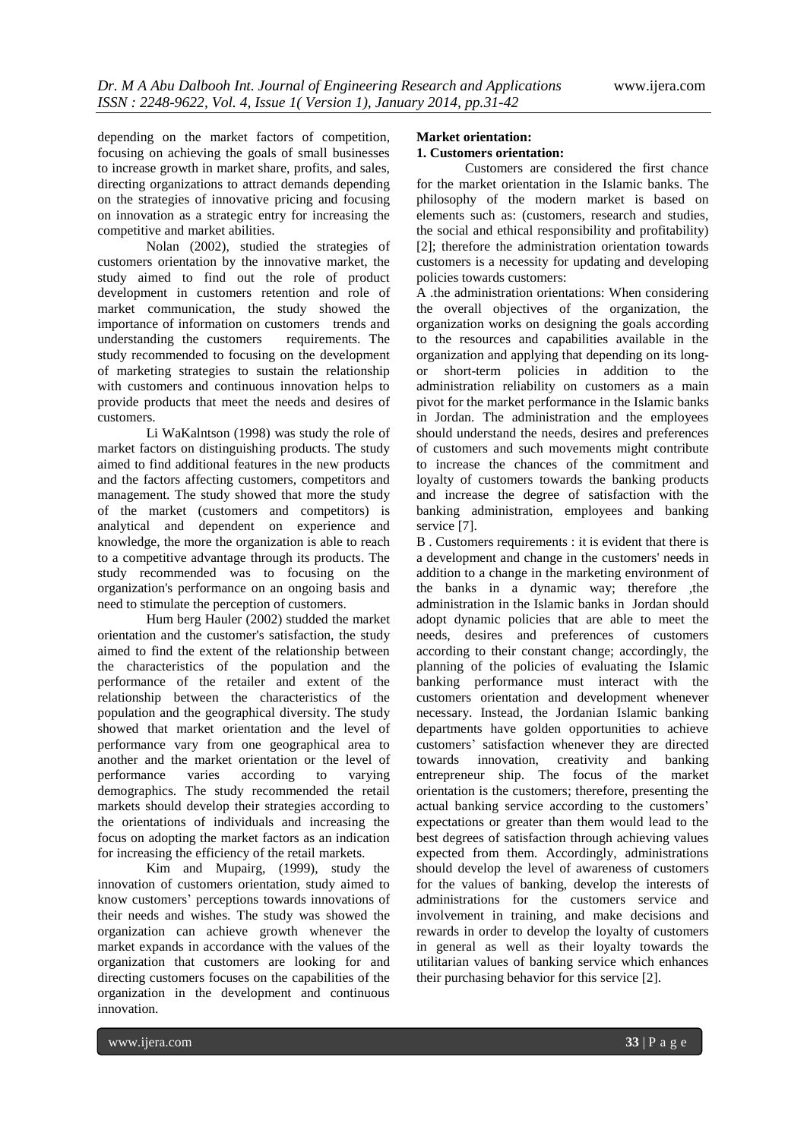depending on the market factors of competition, focusing on achieving the goals of small businesses to increase growth in market share, profits, and sales, directing organizations to attract demands depending on the strategies of innovative pricing and focusing on innovation as a strategic entry for increasing the competitive and market abilities.

Nolan (2002), studied the strategies of customers orientation by the innovative market, the study aimed to find out the role of product development in customers retention and role of market communication, the study showed the importance of information on customers trends and understanding the customers requirements. The study recommended to focusing on the development of marketing strategies to sustain the relationship with customers and continuous innovation helps to provide products that meet the needs and desires of customers.

Li WaKalntson (1998) was study the role of market factors on distinguishing products. The study aimed to find additional features in the new products and the factors affecting customers, competitors and management. The study showed that more the study of the market (customers and competitors) is analytical and dependent on experience and knowledge, the more the organization is able to reach to a competitive advantage through its products. The study recommended was to focusing on the organization's performance on an ongoing basis and need to stimulate the perception of customers.

Hum berg Hauler (2002) studded the market orientation and the customer's satisfaction, the study aimed to find the extent of the relationship between the characteristics of the population and the performance of the retailer and extent of the relationship between the characteristics of the population and the geographical diversity. The study showed that market orientation and the level of performance vary from one geographical area to another and the market orientation or the level of performance varies according to varying demographics. The study recommended the retail markets should develop their strategies according to the orientations of individuals and increasing the focus on adopting the market factors as an indication for increasing the efficiency of the retail markets.

Kim and Mupairg, (1999), study the innovation of customers orientation, study aimed to know customers' perceptions towards innovations of their needs and wishes. The study was showed the organization can achieve growth whenever the market expands in accordance with the values of the organization that customers are looking for and directing customers focuses on the capabilities of the organization in the development and continuous innovation.

## **Market orientation: 1. Customers orientation:**

Customers are considered the first chance for the market orientation in the Islamic banks. The philosophy of the modern market is based on elements such as: (customers, research and studies, the social and ethical responsibility and profitability) [2]; therefore the administration orientation towards customers is a necessity for updating and developing policies towards customers:

A .the administration orientations: When considering the overall objectives of the organization, the organization works on designing the goals according to the resources and capabilities available in the organization and applying that depending on its longor short-term policies in addition to the administration reliability on customers as a main pivot for the market performance in the Islamic banks in Jordan. The administration and the employees should understand the needs, desires and preferences of customers and such movements might contribute to increase the chances of the commitment and loyalty of customers towards the banking products and increase the degree of satisfaction with the banking administration, employees and banking service [7].

B . Customers requirements : it is evident that there is a development and change in the customers' needs in addition to a change in the marketing environment of the banks in a dynamic way; therefore ,the administration in the Islamic banks in Jordan should adopt dynamic policies that are able to meet the needs, desires and preferences of customers according to their constant change; accordingly, the planning of the policies of evaluating the Islamic banking performance must interact with the customers orientation and development whenever necessary. Instead, the Jordanian Islamic banking departments have golden opportunities to achieve customers' satisfaction whenever they are directed towards innovation, creativity and banking entrepreneur ship. The focus of the market orientation is the customers; therefore, presenting the actual banking service according to the customers' expectations or greater than them would lead to the best degrees of satisfaction through achieving values expected from them. Accordingly, administrations should develop the level of awareness of customers for the values of banking, develop the interests of administrations for the customers service and involvement in training, and make decisions and rewards in order to develop the loyalty of customers in general as well as their loyalty towards the utilitarian values of banking service which enhances their purchasing behavior for this service [2].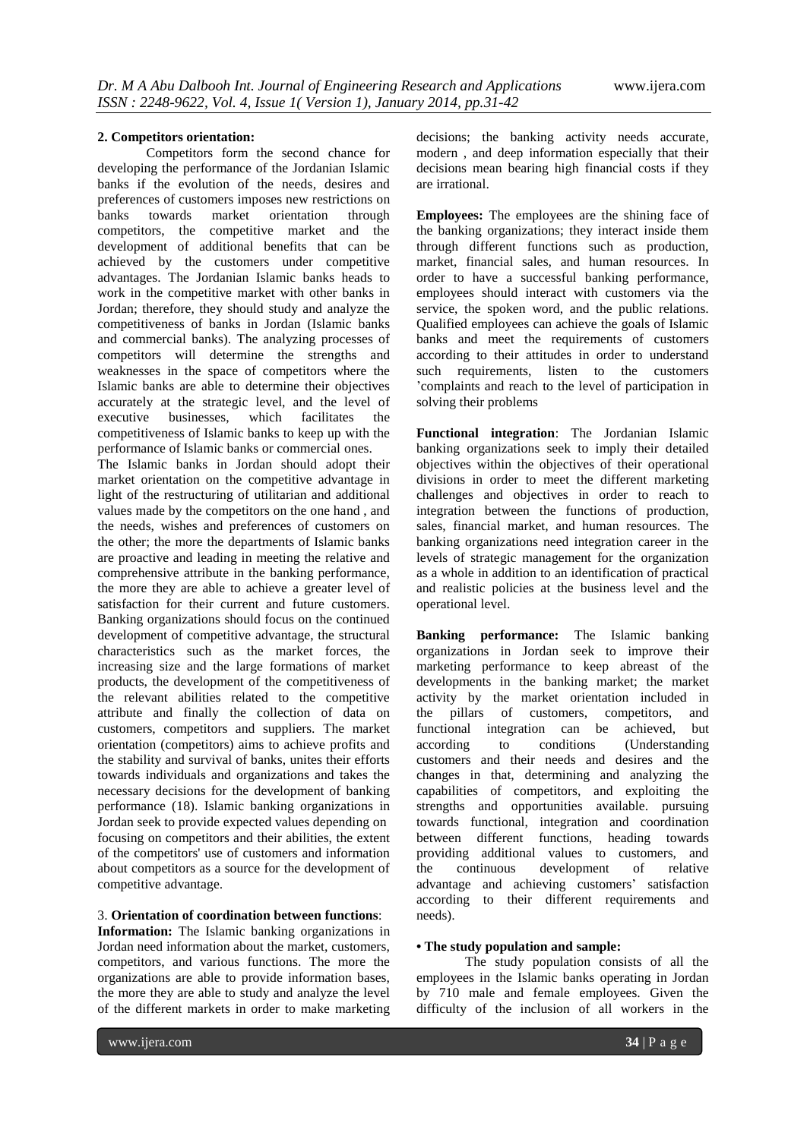#### **2. Competitors orientation:**

Competitors form the second chance for developing the performance of the Jordanian Islamic banks if the evolution of the needs, desires and preferences of customers imposes new restrictions on<br>banks towards market orientation through banks towards market orientation through competitors, the competitive market and the development of additional benefits that can be achieved by the customers under competitive advantages. The Jordanian Islamic banks heads to work in the competitive market with other banks in Jordan; therefore, they should study and analyze the competitiveness of banks in Jordan (Islamic banks and commercial banks). The analyzing processes of competitors will determine the strengths and weaknesses in the space of competitors where the Islamic banks are able to determine their objectives accurately at the strategic level, and the level of executive businesses, which facilitates the competitiveness of Islamic banks to keep up with the performance of Islamic banks or commercial ones.

The Islamic banks in Jordan should adopt their market orientation on the competitive advantage in light of the restructuring of utilitarian and additional values made by the competitors on the one hand , and the needs, wishes and preferences of customers on the other; the more the departments of Islamic banks are proactive and leading in meeting the relative and comprehensive attribute in the banking performance, the more they are able to achieve a greater level of satisfaction for their current and future customers. Banking organizations should focus on the continued development of competitive advantage, the structural characteristics such as the market forces, the increasing size and the large formations of market products, the development of the competitiveness of the relevant abilities related to the competitive attribute and finally the collection of data on customers, competitors and suppliers. The market orientation (competitors) aims to achieve profits and the stability and survival of banks, unites their efforts towards individuals and organizations and takes the necessary decisions for the development of banking performance (18). Islamic banking organizations in Jordan seek to provide expected values depending on focusing on competitors and their abilities, the extent of the competitors' use of customers and information about competitors as a source for the development of competitive advantage.

## 3. **Orientation of coordination between functions**:

**Information:** The Islamic banking organizations in Jordan need information about the market, customers, competitors, and various functions. The more the organizations are able to provide information bases, the more they are able to study and analyze the level of the different markets in order to make marketing

decisions; the banking activity needs accurate, modern , and deep information especially that their decisions mean bearing high financial costs if they are irrational.

**Employees:** The employees are the shining face of the banking organizations; they interact inside them through different functions such as production, market, financial sales, and human resources. In order to have a successful banking performance, employees should interact with customers via the service, the spoken word, and the public relations. Qualified employees can achieve the goals of Islamic banks and meet the requirements of customers according to their attitudes in order to understand such requirements, listen to the customers 'complaints and reach to the level of participation in solving their problems

**Functional integration**: The Jordanian Islamic banking organizations seek to imply their detailed objectives within the objectives of their operational divisions in order to meet the different marketing challenges and objectives in order to reach to integration between the functions of production, sales, financial market, and human resources. The banking organizations need integration career in the levels of strategic management for the organization as a whole in addition to an identification of practical and realistic policies at the business level and the operational level.

**Banking performance:** The Islamic banking organizations in Jordan seek to improve their marketing performance to keep abreast of the developments in the banking market; the market activity by the market orientation included in the pillars of customers, competitors, and functional integration can be achieved, but according to conditions (Understanding customers and their needs and desires and the changes in that, determining and analyzing the capabilities of competitors, and exploiting the strengths and opportunities available. pursuing towards functional, integration and coordination between different functions, heading towards providing additional values to customers, and the continuous development of relative advantage and achieving customers' satisfaction according to their different requirements and needs).

## **• The study population and sample:**

The study population consists of all the employees in the Islamic banks operating in Jordan by 710 male and female employees. Given the difficulty of the inclusion of all workers in the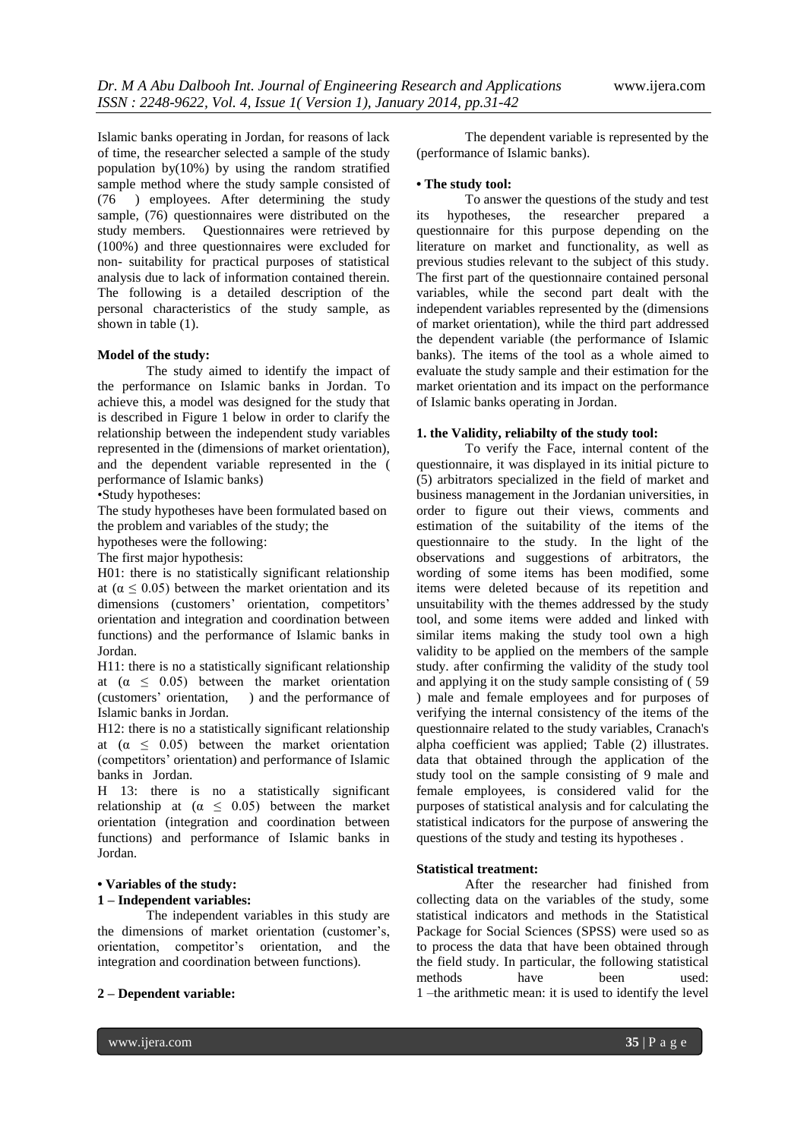Islamic banks operating in Jordan, for reasons of lack of time, the researcher selected a sample of the study population by(10%) by using the random stratified sample method where the study sample consisted of (76 ) employees. After determining the study sample, (76) questionnaires were distributed on the study members. Questionnaires were retrieved by (100%) and three questionnaires were excluded for non- suitability for practical purposes of statistical analysis due to lack of information contained therein. The following is a detailed description of the personal characteristics of the study sample, as shown in table (1).

#### **Model of the study:**

The study aimed to identify the impact of the performance on Islamic banks in Jordan. To achieve this, a model was designed for the study that is described in Figure 1 below in order to clarify the relationship between the independent study variables represented in the (dimensions of market orientation), and the dependent variable represented in the ( performance of Islamic banks)

## •Study hypotheses:

The study hypotheses have been formulated based on the problem and variables of the study; the

hypotheses were the following:

The first major hypothesis:

H01: there is no statistically significant relationship at ( $\alpha$  < 0.05) between the market orientation and its dimensions (customers' orientation, competitors' orientation and integration and coordination between functions) and the performance of Islamic banks in Jordan.

H11: there is no a statistically significant relationship at  $(\alpha \leq 0.05)$  between the market orientation (customers' orientation, ) and the performance of Islamic banks in Jordan.

H12: there is no a statistically significant relationship at  $(\alpha \leq 0.05)$  between the market orientation (competitors' orientation) and performance of Islamic banks in Jordan.

H 13: there is no a statistically significant relationship at  $(\alpha \leq 0.05)$  between the market orientation (integration and coordination between functions) and performance of Islamic banks in Jordan.

## **• Variables of the study:**

## **1 – Independent variables:**

The independent variables in this study are the dimensions of market orientation (customer's, orientation, competitor's orientation, and the integration and coordination between functions).

#### **2 – Dependent variable:**

The dependent variable is represented by the (performance of Islamic banks).

## **• The study tool:**

To answer the questions of the study and test its hypotheses, the researcher prepared a questionnaire for this purpose depending on the literature on market and functionality, as well as previous studies relevant to the subject of this study. The first part of the questionnaire contained personal variables, while the second part dealt with the independent variables represented by the (dimensions of market orientation), while the third part addressed the dependent variable (the performance of Islamic banks). The items of the tool as a whole aimed to evaluate the study sample and their estimation for the market orientation and its impact on the performance of Islamic banks operating in Jordan.

#### **1. the Validity, reliabilty of the study tool:**

To verify the Face, internal content of the questionnaire, it was displayed in its initial picture to (5) arbitrators specialized in the field of market and business management in the Jordanian universities, in order to figure out their views, comments and estimation of the suitability of the items of the questionnaire to the study. In the light of the observations and suggestions of arbitrators, the wording of some items has been modified, some items were deleted because of its repetition and unsuitability with the themes addressed by the study tool, and some items were added and linked with similar items making the study tool own a high validity to be applied on the members of the sample study. after confirming the validity of the study tool and applying it on the study sample consisting of ( 59 ) male and female employees and for purposes of verifying the internal consistency of the items of the questionnaire related to the study variables, Cranach's alpha coefficient was applied; Table (2) illustrates. data that obtained through the application of the study tool on the sample consisting of 9 male and female employees, is considered valid for the purposes of statistical analysis and for calculating the statistical indicators for the purpose of answering the questions of the study and testing its hypotheses .

#### **Statistical treatment:**

After the researcher had finished from collecting data on the variables of the study, some statistical indicators and methods in the Statistical Package for Social Sciences (SPSS) were used so as to process the data that have been obtained through the field study. In particular, the following statistical methods have been used: 1 –the arithmetic mean: it is used to identify the level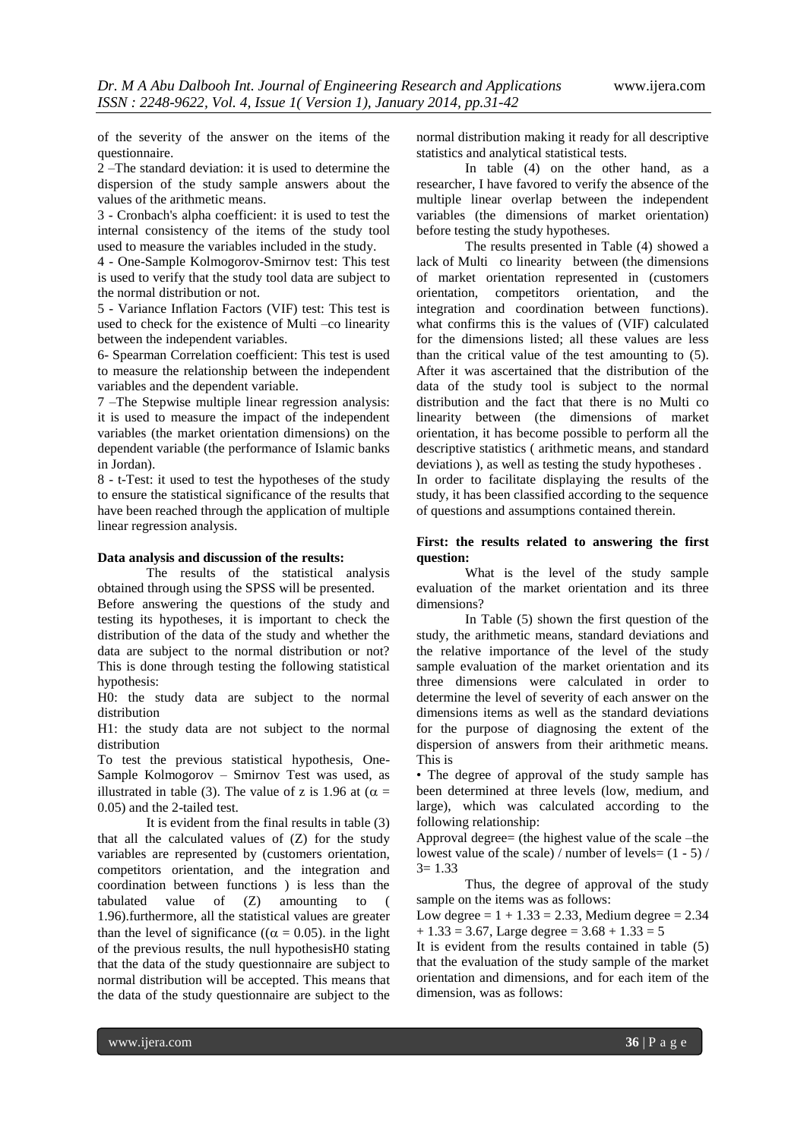of the severity of the answer on the items of the questionnaire.

2 –The standard deviation: it is used to determine the dispersion of the study sample answers about the values of the arithmetic means.

3 - Cronbach's alpha coefficient: it is used to test the internal consistency of the items of the study tool used to measure the variables included in the study.

4 - One-Sample Kolmogorov-Smirnov test: This test is used to verify that the study tool data are subject to the normal distribution or not.

5 - Variance Inflation Factors (VIF) test: This test is used to check for the existence of Multi –co linearity between the independent variables.

6- Spearman Correlation coefficient: This test is used to measure the relationship between the independent variables and the dependent variable.

7 –The Stepwise multiple linear regression analysis: it is used to measure the impact of the independent variables (the market orientation dimensions) on the dependent variable (the performance of Islamic banks in Jordan).

8 - t-Test: it used to test the hypotheses of the study to ensure the statistical significance of the results that have been reached through the application of multiple linear regression analysis.

#### **Data analysis and discussion of the results:**

The results of the statistical analysis obtained through using the SPSS will be presented. Before answering the questions of the study and testing its hypotheses, it is important to check the distribution of the data of the study and whether the data are subject to the normal distribution or not? This is done through testing the following statistical hypothesis:

H0: the study data are subject to the normal distribution

H1: the study data are not subject to the normal distribution

To test the previous statistical hypothesis, One-Sample Kolmogorov – Smirnov Test was used, as illustrated in table (3). The value of z is 1.96 at ( $\alpha$  = 0.05) and the 2-tailed test.

It is evident from the final results in table (3) that all the calculated values of (Z) for the study variables are represented by (customers orientation, competitors orientation, and the integration and coordination between functions ) is less than the tabulated value of (Z) amounting to ( 1.96).furthermore, all the statistical values are greater than the level of significance (( $\alpha = 0.05$ ). in the light of the previous results, the null hypothesisH0 stating that the data of the study questionnaire are subject to normal distribution will be accepted. This means that the data of the study questionnaire are subject to the

normal distribution making it ready for all descriptive statistics and analytical statistical tests.

In table (4) on the other hand, as a researcher, I have favored to verify the absence of the multiple linear overlap between the independent variables (the dimensions of market orientation) before testing the study hypotheses.

The results presented in Table (4) showed a lack of Multi co linearity between (the dimensions of market orientation represented in (customers orientation, competitors orientation, and the integration and coordination between functions). what confirms this is the values of (VIF) calculated for the dimensions listed; all these values are less than the critical value of the test amounting to (5). After it was ascertained that the distribution of the data of the study tool is subject to the normal distribution and the fact that there is no Multi co linearity between (the dimensions of market orientation, it has become possible to perform all the descriptive statistics ( arithmetic means, and standard deviations ), as well as testing the study hypotheses .

In order to facilitate displaying the results of the study, it has been classified according to the sequence of questions and assumptions contained therein.

## **First: the results related to answering the first question:**

What is the level of the study sample evaluation of the market orientation and its three dimensions?

In Table (5) shown the first question of the study, the arithmetic means, standard deviations and the relative importance of the level of the study sample evaluation of the market orientation and its three dimensions were calculated in order to determine the level of severity of each answer on the dimensions items as well as the standard deviations for the purpose of diagnosing the extent of the dispersion of answers from their arithmetic means. This is

• The degree of approval of the study sample has been determined at three levels (low, medium, and large), which was calculated according to the following relationship:

Approval degree= (the highest value of the scale –the lowest value of the scale) / number of levels= (1 - 5) /  $3 = 1.33$ 

Thus, the degree of approval of the study sample on the items was as follows:

Low degree =  $1 + 1.33 = 2.33$ , Medium degree = 2.34  $+ 1.33 = 3.67$ , Large degree =  $3.68 + 1.33 = 5$ 

It is evident from the results contained in table (5) that the evaluation of the study sample of the market orientation and dimensions, and for each item of the dimension, was as follows: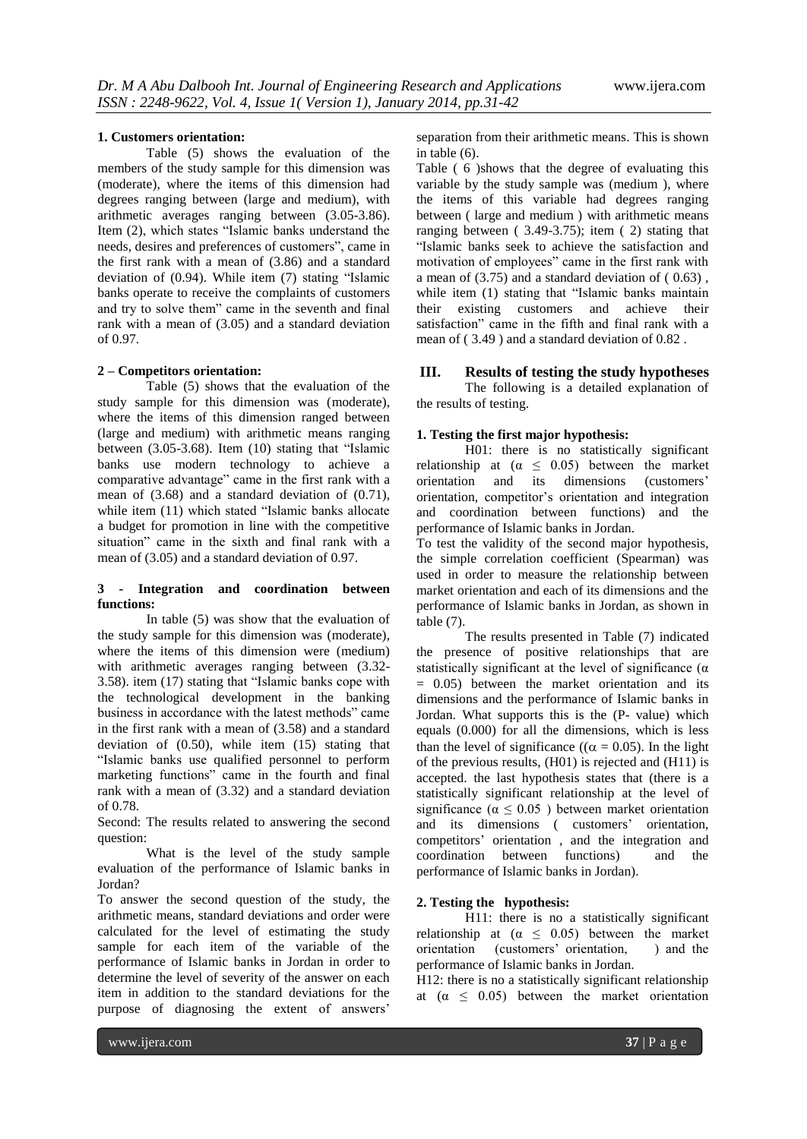#### **1. Customers orientation:**

Table (5) shows the evaluation of the members of the study sample for this dimension was (moderate), where the items of this dimension had degrees ranging between (large and medium), with arithmetic averages ranging between (3.05-3.86). Item (2), which states "Islamic banks understand the needs, desires and preferences of customers", came in the first rank with a mean of (3.86) and a standard deviation of (0.94). While item (7) stating "Islamic banks operate to receive the complaints of customers and try to solve them" came in the seventh and final rank with a mean of (3.05) and a standard deviation of 0.97.

#### **2 – Competitors orientation:**

Table (5) shows that the evaluation of the study sample for this dimension was (moderate), where the items of this dimension ranged between (large and medium) with arithmetic means ranging between (3.05-3.68). Item (10) stating that "Islamic banks use modern technology to achieve a comparative advantage" came in the first rank with a mean of (3.68) and a standard deviation of (0.71), while item (11) which stated "Islamic banks allocate a budget for promotion in line with the competitive situation" came in the sixth and final rank with a mean of (3.05) and a standard deviation of 0.97.

#### **3 - Integration and coordination between functions:**

In table (5) was show that the evaluation of the study sample for this dimension was (moderate), where the items of this dimension were (medium) with arithmetic averages ranging between (3.32- 3.58). item (17) stating that "Islamic banks cope with the technological development in the banking business in accordance with the latest methods" came in the first rank with a mean of (3.58) and a standard deviation of (0.50), while item (15) stating that "Islamic banks use qualified personnel to perform marketing functions" came in the fourth and final rank with a mean of (3.32) and a standard deviation of 0.78.

Second: The results related to answering the second question:

What is the level of the study sample evaluation of the performance of Islamic banks in Jordan?

To answer the second question of the study, the arithmetic means, standard deviations and order were calculated for the level of estimating the study sample for each item of the variable of the performance of Islamic banks in Jordan in order to determine the level of severity of the answer on each item in addition to the standard deviations for the purpose of diagnosing the extent of answers'

separation from their arithmetic means. This is shown in table (6).

Table ( 6 )shows that the degree of evaluating this variable by the study sample was (medium ), where the items of this variable had degrees ranging between ( large and medium ) with arithmetic means ranging between ( 3.49-3.75); item ( 2) stating that "Islamic banks seek to achieve the satisfaction and motivation of employees" came in the first rank with a mean of  $(3.75)$  and a standard deviation of  $(0.63)$ . while item (1) stating that "Islamic banks maintain their existing customers and achieve their satisfaction" came in the fifth and final rank with a mean of ( 3.49 ) and a standard deviation of 0.82 .

## **III. Results of testing the study hypotheses**

The following is a detailed explanation of the results of testing.

### **1. Testing the first major hypothesis:**

H01: there is no statistically significant relationship at  $(\alpha \leq 0.05)$  between the market orientation and its dimensions (customers' orientation, competitor's orientation and integration and coordination between functions) and the performance of Islamic banks in Jordan.

To test the validity of the second major hypothesis, the simple correlation coefficient (Spearman) was used in order to measure the relationship between market orientation and each of its dimensions and the performance of Islamic banks in Jordan, as shown in table (7).

The results presented in Table (7) indicated the presence of positive relationships that are statistically significant at the level of significance  $(\alpha$  $= 0.05$ ) between the market orientation and its dimensions and the performance of Islamic banks in Jordan. What supports this is the (P- value) which equals (0.000) for all the dimensions, which is less than the level of significance (( $\alpha = 0.05$ ). In the light of the previous results, (H01) is rejected and (H11) is accepted. the last hypothesis states that (there is a statistically significant relationship at the level of significance ( $\alpha \leq 0.05$ ) between market orientation and its dimensions ( customers' orientation, competitors' orientation , and the integration and coordination between functions) and the performance of Islamic banks in Jordan).

#### **2. Testing the hypothesis:**

H11: there is no a statistically significant relationship at  $(\alpha \leq 0.05)$  between the market orientation (customers' orientation, ) and the performance of Islamic banks in Jordan.

H12: there is no a statistically significant relationship at  $(\alpha \leq 0.05)$  between the market orientation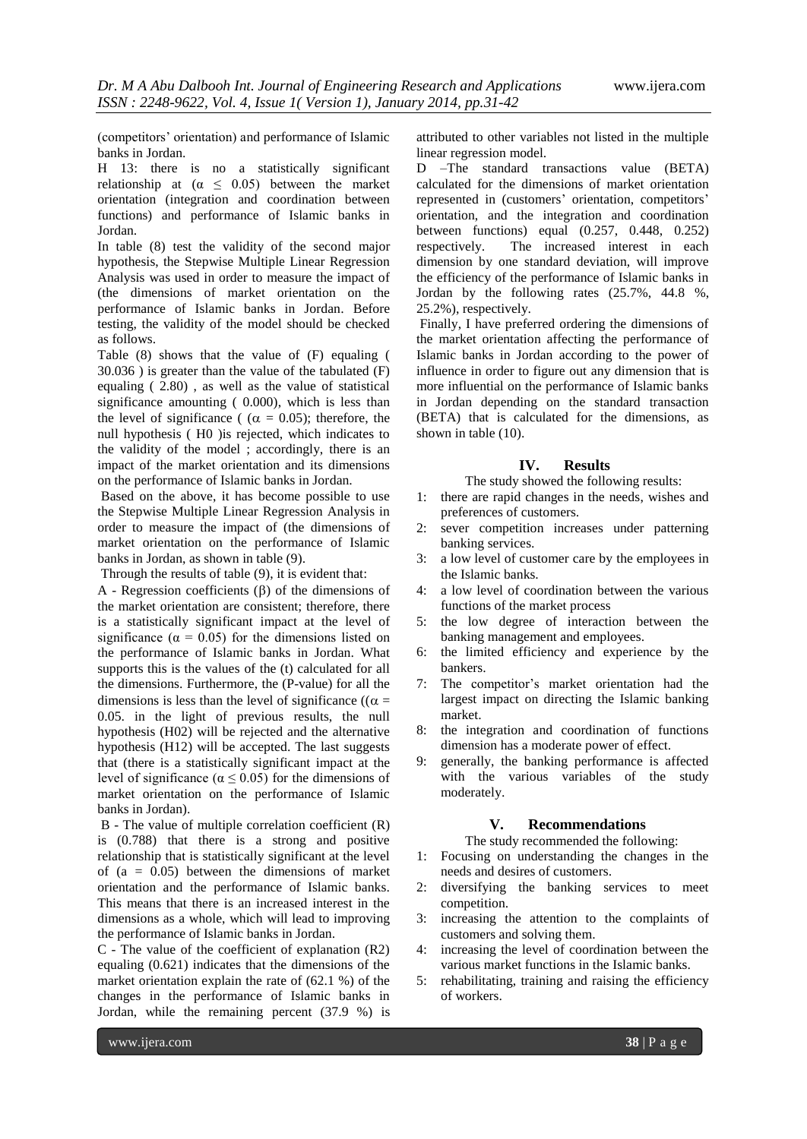(competitors' orientation) and performance of Islamic banks in Jordan.

H 13: there is no a statistically significant relationship at  $(\alpha \leq 0.05)$  between the market orientation (integration and coordination between functions) and performance of Islamic banks in Jordan.

In table (8) test the validity of the second major hypothesis, the Stepwise Multiple Linear Regression Analysis was used in order to measure the impact of (the dimensions of market orientation on the performance of Islamic banks in Jordan. Before testing, the validity of the model should be checked as follows.

Table (8) shows that the value of (F) equaling ( 30.036 ) is greater than the value of the tabulated (F) equaling ( 2.80) , as well as the value of statistical significance amounting ( 0.000), which is less than the level of significance (  $(\alpha = 0.05)$ ; therefore, the null hypothesis ( H0 )is rejected, which indicates to the validity of the model ; accordingly, there is an impact of the market orientation and its dimensions on the performance of Islamic banks in Jordan.

Based on the above, it has become possible to use the Stepwise Multiple Linear Regression Analysis in order to measure the impact of (the dimensions of market orientation on the performance of Islamic banks in Jordan, as shown in table (9).

Through the results of table (9), it is evident that:

A - Regression coefficients  $(\beta)$  of the dimensions of the market orientation are consistent; therefore, there is a statistically significant impact at the level of significance ( $\alpha = 0.05$ ) for the dimensions listed on the performance of Islamic banks in Jordan. What supports this is the values of the (t) calculated for all the dimensions. Furthermore, the (P-value) for all the dimensions is less than the level of significance (( $\alpha$  = 0.05. in the light of previous results, the null hypothesis (H02) will be rejected and the alternative hypothesis (H12) will be accepted. The last suggests that (there is a statistically significant impact at the level of significance ( $\alpha$  < 0.05) for the dimensions of market orientation on the performance of Islamic banks in Jordan).

B - The value of multiple correlation coefficient (R) is (0.788) that there is a strong and positive relationship that is statistically significant at the level of  $(a = 0.05)$  between the dimensions of market orientation and the performance of Islamic banks. This means that there is an increased interest in the dimensions as a whole, which will lead to improving the performance of Islamic banks in Jordan.

C - The value of the coefficient of explanation (R2) equaling (0.621) indicates that the dimensions of the market orientation explain the rate of (62.1 %) of the changes in the performance of Islamic banks in Jordan, while the remaining percent (37.9 %) is attributed to other variables not listed in the multiple linear regression model.

D –The standard transactions value (BETA) calculated for the dimensions of market orientation represented in (customers' orientation, competitors' orientation, and the integration and coordination between functions) equal (0.257, 0.448, 0.252) respectively. The increased interest in each dimension by one standard deviation, will improve the efficiency of the performance of Islamic banks in Jordan by the following rates (25.7%, 44.8 %, 25.2%), respectively.

Finally, I have preferred ordering the dimensions of the market orientation affecting the performance of Islamic banks in Jordan according to the power of influence in order to figure out any dimension that is more influential on the performance of Islamic banks in Jordan depending on the standard transaction (BETA) that is calculated for the dimensions, as shown in table (10).

## **IV. Results**

The study showed the following results:

- 1: there are rapid changes in the needs, wishes and preferences of customers.
- 2: sever competition increases under patterning banking services.
- 3: a low level of customer care by the employees in the Islamic banks.
- 4: a low level of coordination between the various functions of the market process
- 5: the low degree of interaction between the banking management and employees.
- 6: the limited efficiency and experience by the bankers.
- 7: The competitor's market orientation had the largest impact on directing the Islamic banking market.
- 8: the integration and coordination of functions dimension has a moderate power of effect.
- 9: generally, the banking performance is affected with the various variables of the study moderately.

### **V. Recommendations**

The study recommended the following:

- 1: Focusing on understanding the changes in the needs and desires of customers.
- 2: diversifying the banking services to meet competition.
- 3: increasing the attention to the complaints of customers and solving them.
- 4: increasing the level of coordination between the various market functions in the Islamic banks.
- 5: rehabilitating, training and raising the efficiency of workers.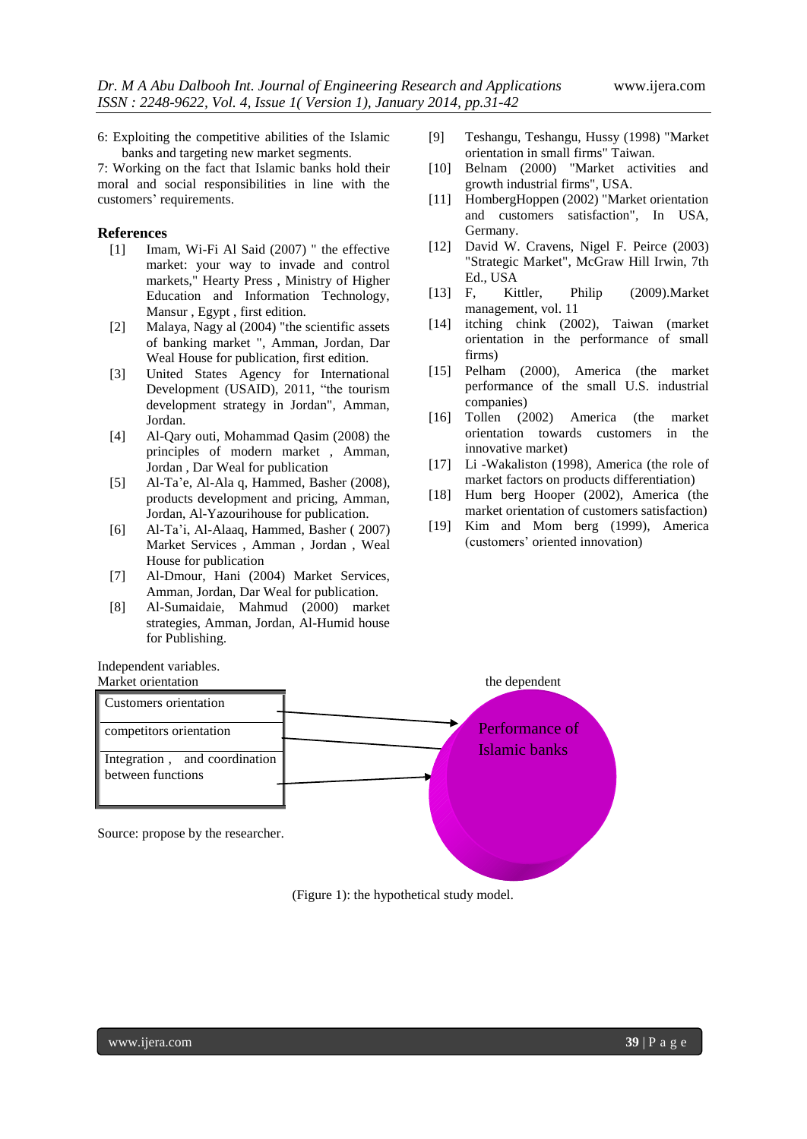6: Exploiting the competitive abilities of the Islamic banks and targeting new market segments.

7: Working on the fact that Islamic banks hold their moral and social responsibilities in line with the customers' requirements.

## **References**

- [1] Imam, Wi-Fi Al Said (2007) " the effective market: your way to invade and control markets," Hearty Press , Ministry of Higher Education and Information Technology, Mansur , Egypt , first edition.
- [2] Malaya, Nagy al (2004) "the scientific assets of banking market ", Amman, Jordan, Dar Weal House for publication, first edition.
- [3] United States Agency for International Development (USAID), 2011, "the tourism development strategy in Jordan", Amman, Jordan.
- [4] Al-Qary outi, Mohammad Qasim (2008) the principles of modern market , Amman, Jordan , Dar Weal for publication
- [5] Al-Ta'e, Al-Ala q, Hammed, Basher (2008), products development and pricing, Amman, Jordan, Al-Yazourihouse for publication.
- [6] Al-Ta'i, Al-Alaaq, Hammed, Basher ( 2007) Market Services , Amman , Jordan , Weal House for publication
- [7] Al-Dmour, Hani (2004) Market Services, Amman, Jordan, Dar Weal for publication.
- [8] Al-Sumaidaie, Mahmud (2000) market strategies, Amman, Jordan, Al-Humid house for Publishing.

Independent variables.

- [9] Teshangu, Teshangu, Hussy (1998) "Market orientation in small firms" Taiwan.
- [10] Belnam (2000) "Market activities and growth industrial firms", USA.
- [11] HombergHoppen (2002) "Market orientation and customers satisfaction", In USA, Germany.
- [12] David W. Cravens, Nigel F. Peirce (2003) "Strategic Market", McGraw Hill Irwin, 7th Ed., USA
- [13] F, Kittler, Philip (2009).Market management, vol. 11
- [14] itching chink (2002), Taiwan (market orientation in the performance of small firms)
- [15] Pelham (2000), America (the market performance of the small U.S. industrial companies)
- [16] Tollen (2002) America (the market orientation towards customers in the innovative market)
- [17] Li -Wakaliston (1998), America (the role of market factors on products differentiation)
- [18] Hum berg Hooper (2002), America (the market orientation of customers satisfaction)
- [19] Kim and Mom berg (1999), America (customers' oriented innovation)



(Figure 1): the hypothetical study model.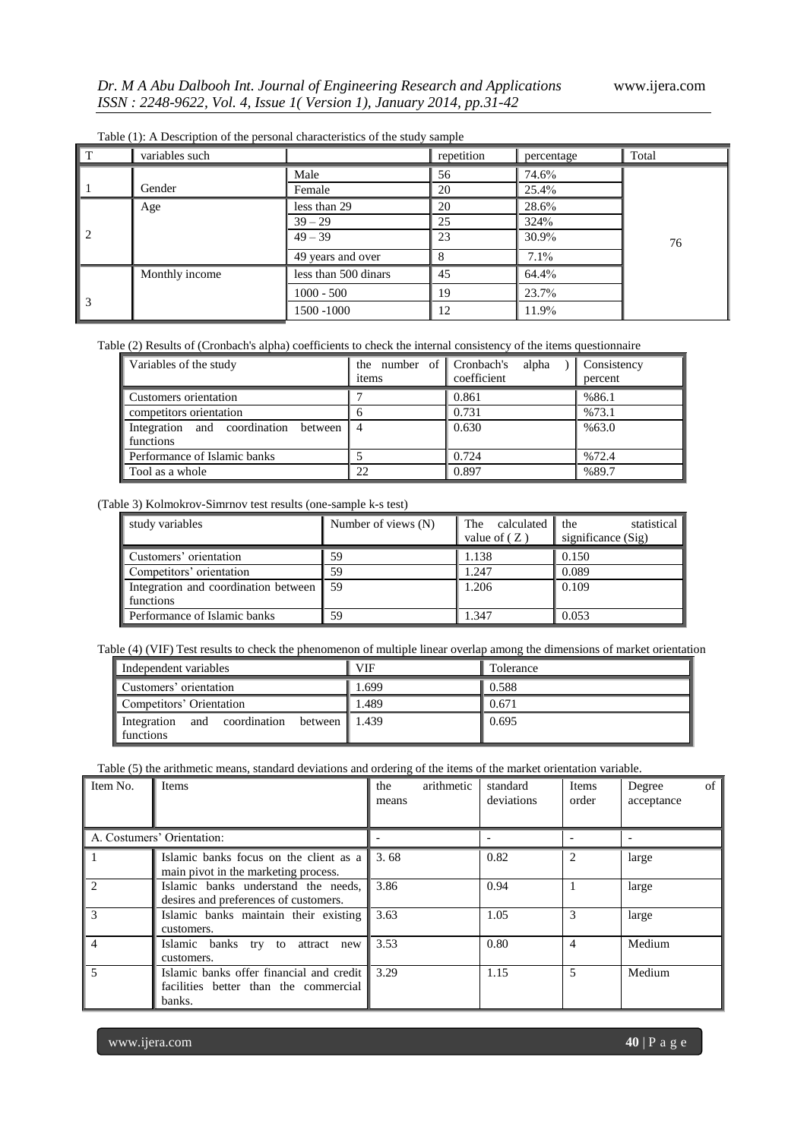| $\sqrt{T}$                       | variables such |                      | repetition | percentage | Total |
|----------------------------------|----------------|----------------------|------------|------------|-------|
|                                  |                | Male                 | 56         | 74.6%      |       |
| $\mathbf{L}$                     | Gender         | Female               | 20         | 25.4%      |       |
|                                  | Age            | less than 29         | 20         | 28.6%      |       |
|                                  |                | $39 - 29$            | 25         | 324%       |       |
| $\begin{array}{c} \n\end{array}$ |                | $49 - 39$            | 23         | 30.9%      | 76    |
|                                  |                | 49 years and over    |            | 7.1%       |       |
|                                  | Monthly income | less than 500 dinars | 45         | 64.4%      |       |
| $\Bigg 3$                        |                | $1000 - 500$         | 19         | 23.7%      |       |
|                                  |                | 1500 -1000           | 12         | 11.9%      |       |

Table (1): A Description of the personal characteristics of the study sample

#### Table (2) Results of (Cronbach's alpha) coefficients to check the internal consistency of the items questionnaire

| Variables of the study                              | the number of Cronbach's<br>items | alpha<br>coefficient | <b>Consistency</b><br>percent |
|-----------------------------------------------------|-----------------------------------|----------------------|-------------------------------|
| Customers orientation                               |                                   | 0.861                | %86.1                         |
| competitors orientation                             |                                   | 0.731                | %73.1                         |
| Integration and coordination between<br>  functions |                                   | 0.630                | %63.0                         |
| Performance of Islamic banks                        |                                   | 0.724                | %72.4                         |
| Tool as a whole                                     | 22                                | 0.897                | %89.7                         |

(Table 3) Kolmokrov-Simrnov test results (one-sample k-s test)

| study variables                      | Number of views (N) | The calculated the<br>value of $(Z)$ | statistical<br>significance (Sig) |
|--------------------------------------|---------------------|--------------------------------------|-----------------------------------|
|                                      |                     |                                      |                                   |
| Customers' orientation               | 59                  | 1.138                                | 0.150                             |
| Competitors' orientation             | 59                  | 1.247                                | 0.089                             |
| Integration and coordination between | -59                 | 1.206                                | 0.109                             |
| functions                            |                     |                                      |                                   |
| Performance of Islamic banks         | 59                  | 1.347                                | 0.053                             |

Table (4) (VIF) Test results to check the phenomenon of multiple linear overlap among the dimensions of market orientation

| Independent variables                                                  | <b>VIF</b> | Tolerance |
|------------------------------------------------------------------------|------------|-----------|
| ■ Customers' orientation                                               | 1.699      | 0.588     |
| Competitors' Orientation                                               | 1.489      | 0.671     |
| between $\parallel$ 1.439<br>Integration and coordination<br>functions |            | 0.695     |

Table (5) the arithmetic means, standard deviations and ordering of the items of the market orientation variable.

| I Item No.     | Items                                                                                       | arithmetic<br>the<br>means | standard<br>deviations | Items<br>order | of<br>Degree<br>acceptance |
|----------------|---------------------------------------------------------------------------------------------|----------------------------|------------------------|----------------|----------------------------|
|                | A. Costumers' Orientation:                                                                  |                            |                        |                |                            |
|                | Islamic banks focus on the client as a<br>main pivot in the marketing process.              | 3.68                       | 0.82                   |                | large                      |
| $\overline{2}$ | Islamic banks understand the needs,<br>desires and preferences of customers.                | 3.86                       | 0.94                   |                | large                      |
| 3              | Islamic banks maintain their existing<br>customers.                                         | 3.63                       | 1.05                   | 3              | large                      |
| $\overline{4}$ | Islamic banks try to<br>attract new<br>customers.                                           | 3.53                       | 0.80                   | 4              | Medium                     |
| $\vert$ 5      | Islamic banks offer financial and credit<br>facilities better than the commercial<br>banks. | 3.29                       | 1.15                   | 5              | Medium                     |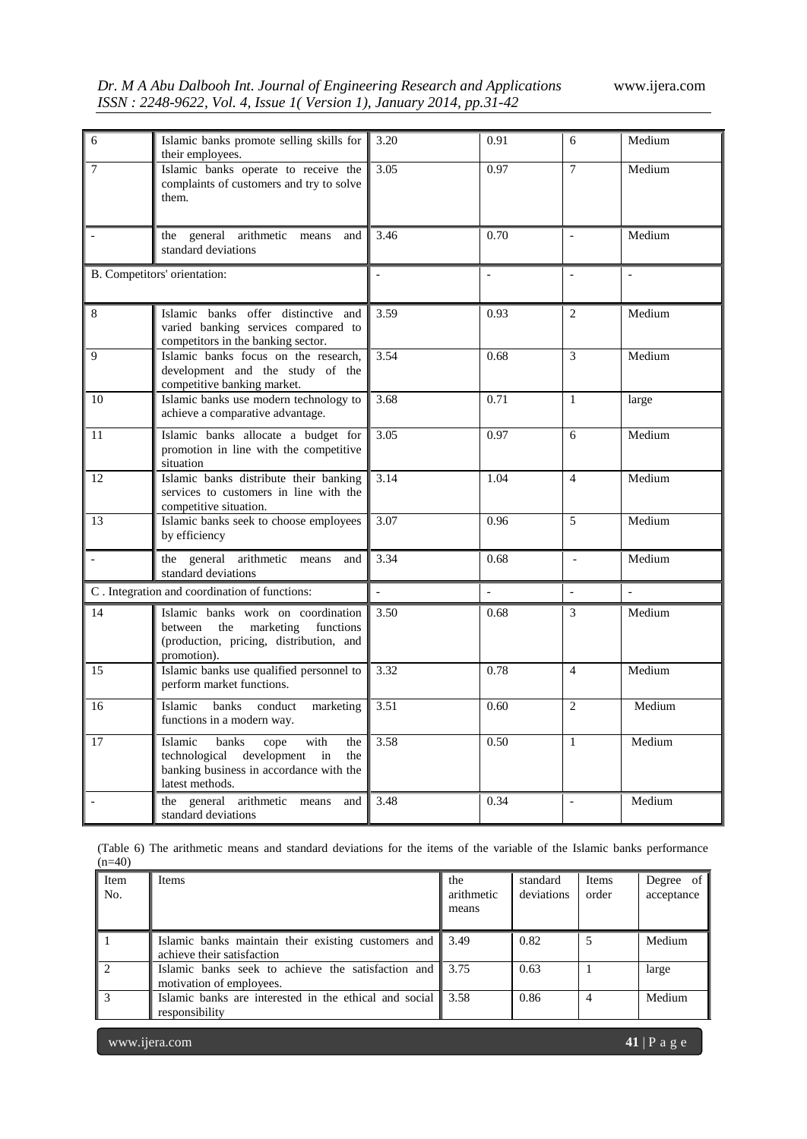|  |  |                                                                      | Dr. M A Abu Dalbooh Int. Journal of Engineering Research and Applications |
|--|--|----------------------------------------------------------------------|---------------------------------------------------------------------------|
|  |  | ISSN : 2248-9622, Vol. 4, Issue 1(Version 1), January 2014, pp.31-42 |                                                                           |

*Dr. M A Abu Dalbooh Int. Journal of Engineering Research and Applications* www.ijera.com

| 6              | Islamic banks promote selling skills for                                                                                                           | 3.20           | 0.91                     | 6                        | Medium |
|----------------|----------------------------------------------------------------------------------------------------------------------------------------------------|----------------|--------------------------|--------------------------|--------|
|                | their employees.                                                                                                                                   |                |                          |                          |        |
| 7              | Islamic banks operate to receive the<br>complaints of customers and try to solve<br>them.                                                          | 3.05           | 0.97                     | $\overline{7}$           | Medium |
|                | the general arithmetic means<br>and<br>standard deviations                                                                                         | 3.46           | 0.70                     | $\overline{a}$           | Medium |
|                | B. Competitors' orientation:                                                                                                                       |                | $\overline{\phantom{a}}$ |                          |        |
| 8              | Islamic banks offer distinctive and<br>varied banking services compared to<br>competitors in the banking sector.                                   | 3.59           | 0.93                     | 2                        | Medium |
| 9              | Islamic banks focus on the research.<br>development and the study of the<br>competitive banking market.                                            | 3.54           | 0.68                     | 3                        | Medium |
| 10             | Islamic banks use modern technology to<br>achieve a comparative advantage.                                                                         | 3.68           | 0.71                     | $\mathbf{1}$             | large  |
| 11             | Islamic banks allocate a budget for<br>promotion in line with the competitive<br>situation                                                         | 3.05           | 0.97                     | 6                        | Medium |
| 12             | Islamic banks distribute their banking<br>services to customers in line with the<br>competitive situation.                                         | 3.14           | 1.04                     | $\overline{4}$           | Medium |
| 13             | Islamic banks seek to choose employees<br>by efficiency                                                                                            | 3.07           | 0.96                     | 5                        | Medium |
| $\blacksquare$ | the general arithmetic means and<br>standard deviations                                                                                            | 3.34           | 0.68                     | $\overline{\phantom{a}}$ | Medium |
|                | C. Integration and coordination of functions:                                                                                                      | $\overline{a}$ |                          | $\overline{a}$           |        |
| 14             | Islamic banks work on coordination<br>between<br>the<br>marketing<br>functions<br>(production, pricing, distribution, and<br>promotion).           | 3.50           | 0.68                     | 3                        | Medium |
| 15             | Islamic banks use qualified personnel to<br>perform market functions.                                                                              | 3.32           | 0.78                     | $\overline{4}$           | Medium |
| 16             | banks<br>Islamic<br>conduct<br>marketing<br>functions in a modern way.                                                                             | 3.51           | 0.60                     | $\overline{c}$           | Medium |
| 17             | Islamic<br>banks<br>with<br>cope<br>the<br>technological<br>development<br>in<br>the<br>banking business in accordance with the<br>latest methods. | 3.58           | 0.50                     | $\mathbf{1}$             | Medium |
| $\sim$         | the general arithmetic means<br>and<br>standard deviations                                                                                         | 3.48           | 0.34                     | $\overline{\phantom{a}}$ | Medium |

(Table 6) The arithmetic means and standard deviations for the items of the variable of the Islamic banks performance  $(n=40)$ 

| l Item<br>∥ No. | <b>Items</b>                                                                                       | the<br>arithmetic<br>means | standard<br>deviations | Items<br>order | Degree of<br>acceptance |
|-----------------|----------------------------------------------------------------------------------------------------|----------------------------|------------------------|----------------|-------------------------|
|                 | Islamic banks maintain their existing customers and $\parallel$ 3.49<br>achieve their satisfaction |                            | 0.82                   | 5              | Medium                  |
| $\mathbf{1}$    | Islamic banks seek to achieve the satisfaction and 13.75<br>motivation of employees.               |                            | 0.63                   |                | large                   |
|                 | Islamic banks are interested in the ethical and social    3.58<br>responsibility                   |                            | 0.86                   |                | Medium                  |

www.ijera.com **41** | P a g e